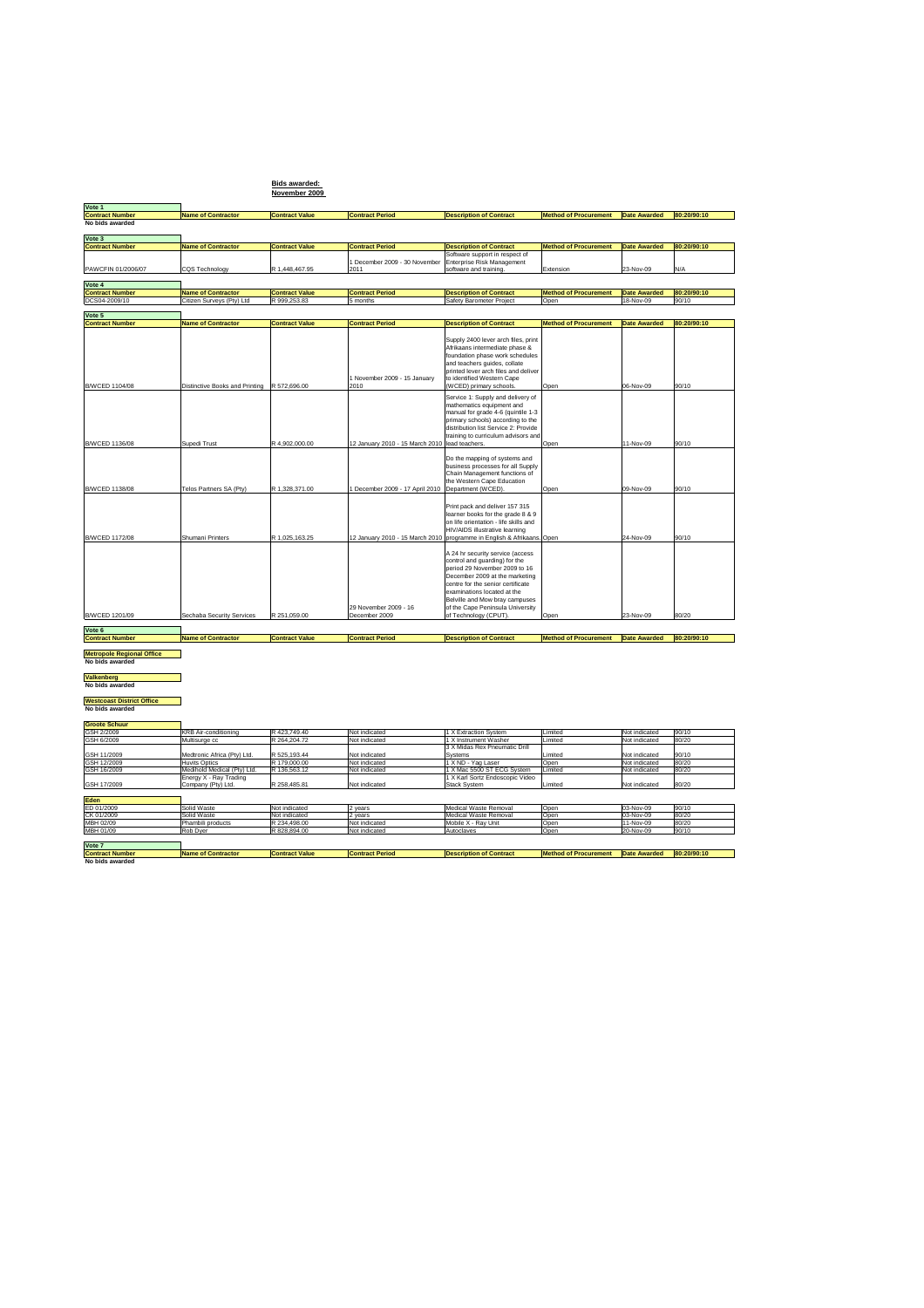**Bids awarded: November 2009** 

| Vote 1                 |                                             |                       |                                                |                                                                        |                              |                     |             |
|------------------------|---------------------------------------------|-----------------------|------------------------------------------------|------------------------------------------------------------------------|------------------------------|---------------------|-------------|
| <b>Contract Number</b> | <b>Name of Contractor</b>                   | <b>Contract Value</b> | <b>Contract Period</b>                         | <b>Description of Contract</b>                                         | <b>Method of Procurement</b> | <b>Date Awarded</b> | 80:20/90:10 |
| No bids awarded        |                                             |                       |                                                |                                                                        |                              |                     |             |
|                        |                                             |                       |                                                |                                                                        |                              |                     |             |
| Vote 3                 |                                             |                       |                                                |                                                                        |                              |                     |             |
| <b>Contract Number</b> | <b>Name of Contractor</b>                   | <b>Contract Value</b> | <b>Contract Period</b>                         | <b>Description of Contract</b><br>Software support in respect of       | <b>Method of Procurement</b> | <b>Date Awarded</b> | 80:20/90:10 |
|                        |                                             |                       | 1 December 2009 - 30 November                  | Enterprise Risk Management                                             |                              |                     |             |
| PAWCFIN 01/2006/07     | CQS Technology                              | R 1,448,467.95        | 2011                                           | software and training.                                                 | Extension                    | 23-Nov-09           | N/A         |
|                        |                                             |                       |                                                |                                                                        |                              |                     |             |
| Vote 4                 |                                             |                       |                                                |                                                                        |                              |                     |             |
| <b>Contract Number</b> | <b>Name of Contractor</b>                   | <b>Contract Value</b> | <b>Contract Period</b>                         | <b>Description of Contract</b>                                         | <b>Method of Procurement</b> | <b>Date Awarded</b> | 80:20/90:10 |
| DCS04-2009/10          | Citizen Surveys (Pty) Ltd                   | R 999,253.83          | 5 months                                       | Safety Barometer Project                                               | Open                         | 18-Nov-09           | 90/10       |
|                        |                                             |                       |                                                |                                                                        |                              |                     |             |
| Vote 5                 |                                             |                       |                                                |                                                                        |                              |                     |             |
| <b>Contract Number</b> | <b>Name of Contractor</b>                   | <b>Contract Value</b> | <b>Contract Period</b>                         | <b>Description of Contract</b>                                         | <b>Method of Procurement</b> | <b>Date Awarded</b> | 80:20/90:10 |
|                        |                                             |                       |                                                |                                                                        |                              |                     |             |
|                        |                                             |                       |                                                | Supply 2400 lever arch files, print                                    |                              |                     |             |
|                        |                                             |                       |                                                | Afrikaans intermediate phase &                                         |                              |                     |             |
|                        |                                             |                       |                                                | foundation phase work schedules                                        |                              |                     |             |
|                        |                                             |                       |                                                | and teachers guides, collate                                           |                              |                     |             |
|                        |                                             |                       |                                                | printed lever arch files and deliver                                   |                              |                     |             |
|                        |                                             |                       | 1 November 2009 - 15 January                   | to identified Western Cape                                             |                              |                     |             |
| <b>B/WCED 1104/08</b>  | Distinctive Books and Printing R 572,696.00 |                       | 2010                                           | (WCED) primary schools.                                                | Open                         | 06-Nov-09           | 90/10       |
|                        |                                             |                       |                                                | Service 1: Supply and delivery of                                      |                              |                     |             |
|                        |                                             |                       |                                                | mathematics equipment and                                              |                              |                     |             |
|                        |                                             |                       |                                                | manual for grade 4-6 (quintile 1-3                                     |                              |                     |             |
|                        |                                             |                       |                                                | primary schools) according to the                                      |                              |                     |             |
|                        |                                             |                       |                                                | distribution list Service 2: Provide                                   |                              |                     |             |
|                        |                                             |                       |                                                | training to curriculum advisors and                                    |                              |                     |             |
| B/WCED 1136/08         | Supedi Trust                                | R 4.902.000.00        | 12 January 2010 - 15 March 2010 lead teachers. |                                                                        | Open                         | 11-Nov-09           | 90/10       |
|                        |                                             |                       |                                                |                                                                        |                              |                     |             |
|                        |                                             |                       |                                                | Do the mapping of systems and                                          |                              |                     |             |
|                        |                                             |                       |                                                | business processes for all Supply                                      |                              |                     |             |
|                        |                                             |                       |                                                | Chain Management functions of                                          |                              |                     |             |
|                        |                                             | R 1.328.371.00        |                                                | the Western Cape Education                                             |                              |                     | 90/10       |
| B/WCED 1138/08         | Telos Partners SA (Ptv)                     |                       | December 2009 - 17 April 2010                  | Department (WCED).                                                     | Open                         | 09-Nov-09           |             |
|                        |                                             |                       |                                                |                                                                        |                              |                     |             |
|                        |                                             |                       |                                                | Print pack and deliver 157 315                                         |                              |                     |             |
|                        |                                             |                       |                                                | learner books for the grade 8 & 9                                      |                              |                     |             |
|                        |                                             |                       |                                                | on life orientation - life skills and                                  |                              |                     |             |
|                        |                                             |                       |                                                | HIV/AIDS illustrative learning                                         |                              |                     |             |
| <b>B/WCED 1172/08</b>  | Shumani Printers                            | R 1.025.163.25        |                                                | 12 January 2010 - 15 March 2010 programme in English & Afrikaans. Open |                              | 24-Nov-09           | 90/10       |
|                        |                                             |                       |                                                |                                                                        |                              |                     |             |
|                        |                                             |                       |                                                | A 24 hr security service (access<br>control and guarding) for the      |                              |                     |             |
|                        |                                             |                       |                                                | period 29 November 2009 to 16                                          |                              |                     |             |
|                        |                                             |                       |                                                | December 2009 at the marketing                                         |                              |                     |             |
|                        |                                             |                       |                                                | centre for the senior certificate                                      |                              |                     |             |
|                        |                                             |                       |                                                | examinations located at the                                            |                              |                     |             |
|                        |                                             |                       |                                                | Belville and Mow bray campuses                                         |                              |                     |             |
|                        |                                             |                       | 29 November 2009 - 16                          | of the Cape Peninsula University                                       |                              |                     |             |
| B/WCED 1201/09         | Sechaba Security Services                   | R 251,059.00          | December 2009                                  | of Technology (CPUT).                                                  | Open                         | 23-Nov-09           | 80/20       |
|                        |                                             |                       |                                                |                                                                        |                              |                     |             |
| Vote 6                 |                                             |                       |                                                |                                                                        |                              |                     |             |

**Vote 6 Contract Number Name of Contractor Contract Value Contract Period Description of Contract Method of Procurement Date Awarded 80:20/90:10 Metropole Regional Office No bids awarded**

**Valkenberg No bids awarded**

**Westcoast District Office No bids awarded**

| <b>Groote Schuur</b> |                             |               |               |                                 |         |               |       |
|----------------------|-----------------------------|---------------|---------------|---------------------------------|---------|---------------|-------|
| GSH 2/2009           | <b>KRB Air-conditioning</b> | R 423,749.40  | Not indicated | 1 X Extraction System           | Limited | Not indicated | 90/10 |
| GSH 6/2009           | Multisurge cc               | R 264.204.72  | Not indicated | 1 X Instrument Washer           | Limited | Not indicated | 80/20 |
|                      |                             |               |               | 3 X Midas Rex Pneumatic Drill   |         |               |       |
| GSH 11/2009          | Medtronic Africa (Ptv) Ltd. | R 525,193,44  | Not indicated | Systems                         | Limited | Not indicated | 90/10 |
| GSH 12/2009          | <b>Huvits Optics</b>        | R 179,000.00  | Not indicated | 1 X ND - Yag Laser              | Open    | Not indicated | 80/20 |
| GSH 16/2009          | Medihold Medical (Ptv) Ltd. | R 136,563.12  | Not indicated | 1 X Mac 5500 ST ECG System      | Limited | Not indicated | 80/20 |
|                      | Energy X - Ray Trading      |               |               | 1 X Karl Sortz Endoscopic Video |         |               |       |
| GSH 17/2009          | Company (Pty) Ltd.          | R 258,485.81  | Not indicated | <b>Stack System</b>             | Limited | Not indicated | 80/20 |
|                      |                             |               |               |                                 |         |               |       |
| Eden                 |                             |               |               |                                 |         |               |       |
| ED 01/2009           | Solid Waste                 | Not indicated | 2 years       | Medical Waste Removal           | Open    | 03-Nov-09     | 90/10 |
| CK 01/2009           | Solid Waste                 | Not indicated | 2 years       | Medical Waste Removal           | Open    | 03-Nov-09     | 80/20 |
| MBH 02/09            | Phambili products           | R 234,498.00  | Not indicated | Mobile X - Ray Unit             | Open    | 11-Nov-09     | 80/20 |
| MBH 01/09            | Rob Dver                    | R 828,894.00  | Not indicated | Autoclaves                      | Open    | 20-Nov-09     | 90/10 |
|                      |                             |               |               |                                 |         |               |       |
| Vote 7               |                             |               |               |                                 |         |               |       |

**Vote 7 Contract Number Name of Contractor Contract Value Contract Period Description of Contract Method of Procurement Date Awarded 80:20/90:10 No bids awarded**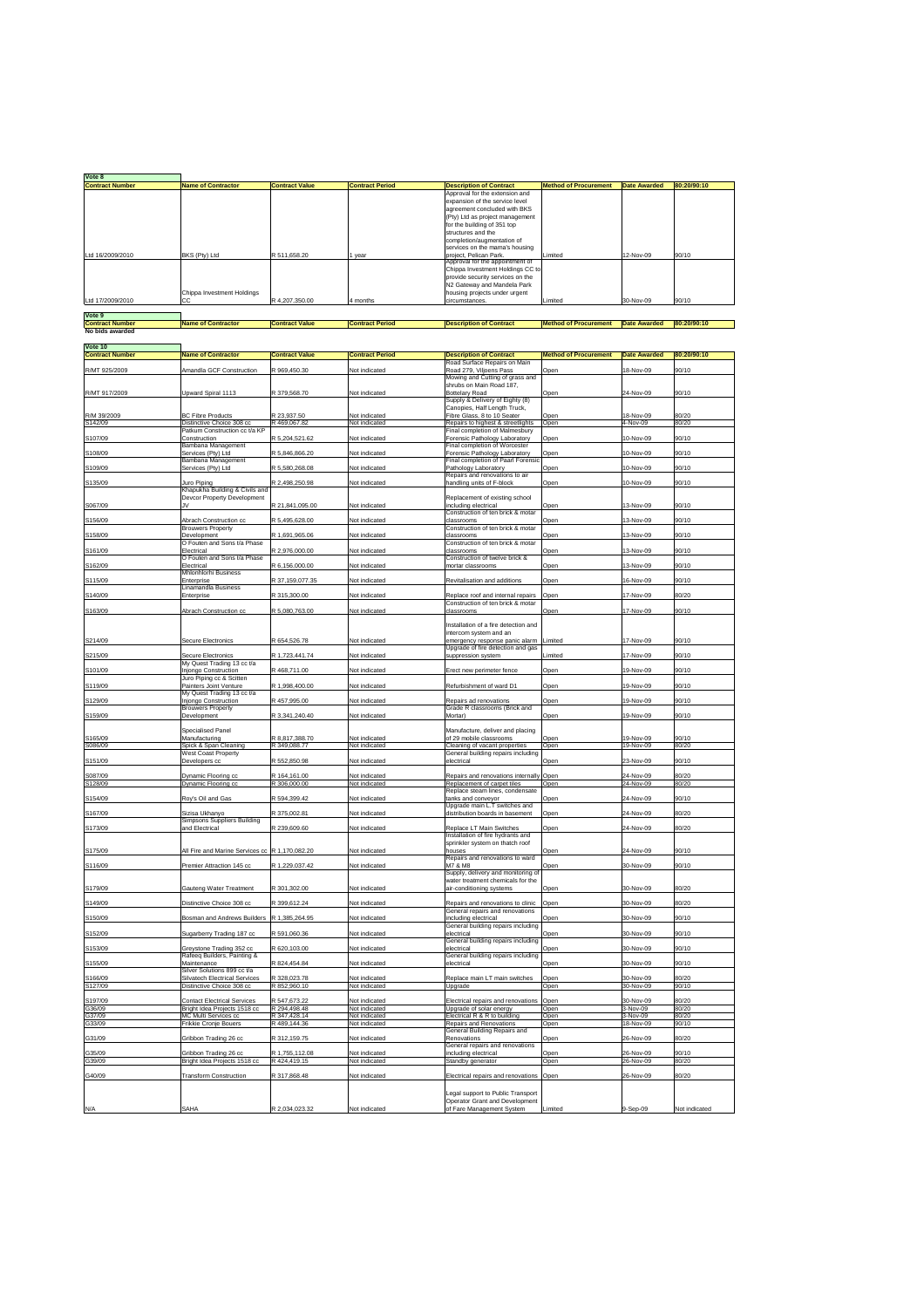| Vote 8                 | <b>Name of Contractor</b>                               | <b>Contract Value</b> | <b>Contract Period</b> |                                                                  | <b>Method of Procurement</b> | <b>Date Awarded</b> | 80:20/90:10   |
|------------------------|---------------------------------------------------------|-----------------------|------------------------|------------------------------------------------------------------|------------------------------|---------------------|---------------|
| <b>Contract Number</b> |                                                         |                       |                        | <b>Description of Contract</b><br>Approval for the extension and |                              |                     |               |
|                        |                                                         |                       |                        | expansion of the service level                                   |                              |                     |               |
|                        |                                                         |                       |                        | agreement concluded with BKS                                     |                              |                     |               |
|                        |                                                         |                       |                        | (Pty) Ltd as project management                                  |                              |                     |               |
|                        |                                                         |                       |                        | for the building of 351 top                                      |                              |                     |               |
|                        |                                                         |                       |                        | structures and the                                               |                              |                     |               |
|                        |                                                         |                       |                        | completion/augmentation of                                       |                              |                     |               |
|                        |                                                         |                       |                        | services on the mama's housing                                   |                              |                     |               |
| Ltd 16/2009/2010       | BKS (Pty) Ltd                                           | R 511,658.20          | 1 year                 | project, Pelican Park.<br>Approval for the appointment of        | .imited                      | 12-Nov-09           | 90/10         |
|                        |                                                         |                       |                        |                                                                  |                              |                     |               |
|                        |                                                         |                       |                        | Chippa Investment Holdings CC to                                 |                              |                     |               |
|                        |                                                         |                       |                        | provide security services on the<br>N2 Gateway and Mandela Park  |                              |                     |               |
|                        | Chippa Investment Holdings                              |                       |                        | housing projects under urgent                                    |                              |                     |               |
| Ltd 17/2009/2010       |                                                         | R 4,207,350.00        | 4 months               | circumstances                                                    | Limited                      | 30-Nov-09           | 90/1C         |
|                        |                                                         |                       |                        |                                                                  |                              |                     |               |
| Vote 9                 |                                                         |                       |                        |                                                                  |                              |                     |               |
| <b>Contract Number</b> | <b>Name of Contractor</b>                               | <b>Contract Value</b> | <b>Contract Period</b> | <b>Description of Contract</b>                                   | <b>Method of Procurement</b> | <b>Date Awarded</b> | 80:20/90:10   |
| No bids awarded        |                                                         |                       |                        |                                                                  |                              |                     |               |
|                        |                                                         |                       |                        |                                                                  |                              |                     |               |
| Vote 10                |                                                         |                       |                        |                                                                  |                              |                     |               |
| <b>Contract Number</b> | <b>Name of Contractor</b>                               | <b>Contract Value</b> | <b>Contract Period</b> | <b>Description of Contract</b>                                   | <b>Method of Procurement</b> | <b>Date Awarded</b> | 80:20/90:10   |
|                        |                                                         |                       |                        | Road Surface Repairs on Main                                     |                              |                     | 90/10         |
| R/MT 925/2009          | Amandla GCF Construction                                | R 969,450.30          | Not indicated          | Road 279, Viljoens Pass<br>Mowing and Cutting of grass and       | Oper                         | 18-Nov-09           |               |
|                        |                                                         |                       |                        | shrubs on Main Road 187.                                         |                              |                     |               |
| R/MT 917/2009          | Upward Spiral 1113                                      | R 379,568.70          | Not indicated          | <b>Bottelary Road</b>                                            | Open                         | 24-Nov-09           | 90/10         |
|                        |                                                         |                       |                        | Supply & Delivery of Eighty (8)                                  |                              |                     |               |
|                        |                                                         |                       |                        | Canopies, Half Length Truck,                                     |                              |                     |               |
| R/M 39/2009            | <b>BC Fibre Products</b>                                | R 23,937.50           | Not indicated          | Fibre Glass, 8 to 10 Seater                                      | Open                         | 18-Nov-09           | 80/20         |
| S142/09                | Distinctive Choice 308 cc                               | R 469,067.82          | Not indicated          | Repairs to highest & streetlights                                | Open                         | 4-Nov-09            | 80/20         |
|                        | Patkum Construction cc t/a KP                           |                       |                        | Final completion of Malmesbury                                   |                              |                     |               |
| S107/09                | Construction                                            | R 5,204,521.62        | Not indicated          | Forensic Pathology Laboratory                                    | Open                         | 10-Nov-09           | 90/10         |
|                        | Bambana Management                                      |                       |                        | Final completion of Worcester                                    |                              |                     |               |
| S108/09                | Services (Pty) Ltd                                      | R 5,846,866.20        | Not indicated          | Forensic Pathology Laboratory                                    | Open                         | 10-Nov-09           | 90/10         |
| S109/09                | Bambana Management<br>Services (Pty) Ltd                | R 5,580,268.08        | Not indicated          | inal completion of Paarl Forensic<br>Pathology Laboratory        | Open                         | 10-Nov-09           | 90/10         |
|                        |                                                         |                       |                        | Repairs and renovations to air                                   |                              |                     |               |
| S135/09                | luro Piping                                             | R 2,498,250.98        | Not indicated          | handling units of F-block                                        | Open                         | 10-Nov-09           | 90/10         |
|                        | Khapukha Building & Civils and                          |                       |                        |                                                                  |                              |                     |               |
|                        | Devcor Property Development                             |                       |                        | Replacement of existing school                                   |                              |                     |               |
| S067/09                |                                                         | R 21,841,095.00       | Not indicated          | including electrical                                             | Open                         | 13-Nov-09           | 90/10         |
|                        |                                                         |                       |                        | Construction of ten brick & motar                                |                              |                     |               |
| S156/09                | Abrach Construction cc                                  | R 5,495,628.00        | Not indicated          | classrooms                                                       | Open                         | 13-Nov-09           | 90/10         |
|                        | <b>Brouwers Property</b>                                |                       |                        | Construction of ten brick & motar                                |                              |                     |               |
| S158/09                | Development<br>O Fouten and Sons t/a Phase              | R 1,691,965.06        | Not indicated          | classrooms<br>Construction of ten brick & motar                  | Open                         | 13-Nov-09           | 90/10         |
| S161/09                | Flectrical                                              | R 2,976,000.00        | Not indicated          | classrooms                                                       | Open                         | 13-Nov-09           | 90/10         |
|                        | O Fouten and Sons t/a Phase                             |                       |                        | Construction of twelve brick &                                   |                              |                     |               |
| S162/09                | Electrical                                              | 8,156,000.00          | Not indicated          | nortar classroom:                                                | Open                         | 13-Nov-09           | 90/10         |
|                        | Mhlonhlorhi Business                                    |                       |                        |                                                                  |                              |                     |               |
| S115/09                | Enterprise                                              | R 37,159,077.35       | Not indicated          | Revitalisation and additions                                     | Open                         | 16-Nov-09           | 90/10         |
|                        | Linamandla Business                                     |                       |                        |                                                                  |                              |                     |               |
| S140/09                | Enterprise                                              | 315,300.00            | Not indicated          | Replace roof and internal repairs                                | Open                         | 17-Nov-09           | 80/20         |
|                        |                                                         |                       |                        | Construction of ten brick & motar                                |                              |                     |               |
| S163/09                | Abrach Construction cc                                  | R 5,080,763.00        | Not indicated          | dassrooms                                                        | Open                         | 17-Nov-09           | 90/10         |
|                        |                                                         |                       |                        | Installation of a fire detection and                             |                              |                     |               |
|                        |                                                         |                       |                        | ntercom system and an                                            |                              |                     |               |
| S214/09                | Secure Electronics                                      | R 654,526.78          | Not indicated          | emergency response panic alarm Limited                           |                              | 17-Nov-09           | 90/10         |
|                        |                                                         |                       |                        | Upgrade of fire detection and gas                                |                              |                     |               |
| S215/09                | Secure Electronics                                      | R 1,723,441.74        | Not indicated          | suppression system                                               | Limited                      | 17-Nov-09           | 90/10         |
|                        | My Quest Trading 13 cc t/a                              |                       |                        |                                                                  |                              |                     |               |
| S101/09                | njongo Construction                                     | R 468,711.00          | Not indicated          | Erect new perimeter fence                                        | Open                         | 19-Nov-09           | 90/10         |
|                        | Juro Piping cc & Scitten                                |                       |                        |                                                                  |                              |                     |               |
| S119/09                | Painters Joint Venture<br>My Quest Trading 13 cc t/a    | R 1,998,400.00        | Not indicated          | Refurbishment of ward D1                                         | Open                         | 19-Nov-09           | 90/10         |
| S129/09                | Injongo Construction                                    | R 457,995.00          | Not indicated          | Repairs ad renovations                                           | Open                         | 19-Nov-09           | 90/10         |
|                        | <b>Brouwers Property</b>                                |                       |                        | Grade R classrooms (Brick and                                    |                              |                     |               |
| S159/09                | Development                                             | R 3,341,240.40        | Not indicated          | Mortar)                                                          | Open                         | 19-Nov-09           | 90/10         |
|                        |                                                         |                       |                        |                                                                  |                              |                     |               |
|                        | Specialised Panel                                       |                       |                        | Manufacture, deliver and placing                                 |                              |                     |               |
| S165/09                | Manufacturing                                           | R 8,817,388.70        | Not indicated          | of 29 mobile classrooms                                          | Open                         | 19-Nov-09           | 90/10         |
| S086/09                | Spick & Span Cleaning                                   | R 349,088.77          | Not indicated          | Cleaning of vacant properties                                    | Open                         | 19-Nov-09           | 80/20         |
|                        | West Coast Property                                     |                       |                        | General building repairs including<br><b>Hectrical</b>           |                              | 23-Nov-09           | 90/10         |
| S151/09                | Developers cc                                           | R 552,850.98          | Not indicated          |                                                                  | Open                         |                     |               |
| S087/09                | Dynamic Flooring cc                                     | 164,161.00            | <b>Not indicated</b>   | Repairs and renovations internally                               | Open                         | 24-Nov-09           | 80/20         |
| S128/09                | Dynamic Flooring cc                                     | R 306,000.00          | Not indicated          | Replacement of carpet tiles                                      | Open                         | 24-Nov-09           | 80/20         |
|                        |                                                         |                       |                        | Replace steam lines, condensate                                  |                              |                     |               |
| S154/09                | Roy's Oil and Gas                                       | R 594,399.42          | Not indicated          | anks and conveyor                                                | Open                         | 24-Nov-09           | 90/10         |
|                        |                                                         |                       |                        | Upgrade main L.T switches and                                    |                              |                     |               |
| S167/09                | Sizisa Ukhanyo                                          | R 375,002.81          | Not indicated          | distribution boards in basement                                  | Open                         | 24-Nov-09           | 80/20         |
|                        | <b>Simpsons Suppliers Building</b><br>and Electrical    |                       | Not indicated          | Replace LT Main Switches                                         |                              | 24-Nov-09           | 80/20         |
| S173/09                |                                                         | R 239,609.60          |                        | Installation of fire hydrants and                                | Open                         |                     |               |
|                        |                                                         |                       |                        | sprinkler system on thatch roof                                  |                              |                     |               |
| S175/09                | All Fire and Marine Services cc R 1,170,082.20          |                       | Not indicated          | houses                                                           | Open                         | 24-Nov-09           | 90/10         |
|                        |                                                         |                       |                        | Repairs and renovations to ward                                  |                              |                     |               |
| S116/09                | Premier Attraction 145 cc                               | R 1,229,037.42        | Not indicated          | M7 & M8                                                          | Open                         | 30-Nov-09           | 90/10         |
|                        |                                                         |                       |                        | iuppiy, delivery and monitoring d                                |                              |                     |               |
|                        |                                                         |                       |                        | water treatment chemicals for the                                |                              |                     |               |
| S179/09                | <b>Gauteng Water Treatment</b>                          | R 301,302.00          | Not indicated          | air-conditioning systems                                         | Open                         | 30-Nov-09           | 80/20         |
| S149/09                | Distinctive Choice 308 cc                               | 399,612.24            | Not indicated          | Repairs and renovations to clinic                                | Open                         | 30-Nov-09           | 30/20         |
|                        |                                                         |                       |                        | General repairs and renovations                                  |                              |                     |               |
| S150/09                | <b>Bosman and Andrews Builders</b>                      | R 1,385,264.95        | Not indicated          | including electrical                                             | Open                         | 30-Nov-09           | 90/10         |
|                        |                                                         |                       |                        | General building repairs including                               |                              |                     |               |
| S152/09                | Sugarberry Trading 187 cc                               | R 591,060.36          | Not indicated          | <b>Hectrical</b>                                                 | Open                         | 30-Nov-09           | 90/10         |
|                        |                                                         |                       |                        | General building repairs including                               |                              |                     |               |
| S153/09                | Greystone Trading 352 cc<br>Rafeeq Builders, Painting & | R 620,103.00          | Not indicated          | lectrical                                                        | Open                         | 30-Nov-09           | 90/10         |
| S155/09                | Maintenance                                             |                       | Not indicated          | General building repairs including<br>electrical                 | Open                         | 30-Nov-09           | 90/10         |
|                        | Silver Solutions 899 cc t/a                             | R 824,454.84          |                        |                                                                  |                              |                     |               |
| S166/09                | <b>Silvatech Electrical Services</b>                    | R 328,023.78          | <b>Not indicated</b>   | Replace main LT main switches                                    | Open                         | 30-Nov-09           | 80/20         |
| S127/09                | Distinctive Choice 308 cc                               | R 852,960.10          | Not indicated          | Upgrade                                                          | Open                         | 30-Nov-09           | 90/10         |
|                        |                                                         |                       |                        |                                                                  |                              |                     |               |
| S197/09                | <b>Contact Electrical Services</b>                      | 3 547,673.22          | Not indicated          | <b>Electrical repairs and renovations</b> Open                   |                              | 30-Nov-09           | 80/20         |
| G36/09                 | Bright Idea Projects 1518 cr                            | R 294,498.48          | Not indicated          | Jpgrade of solar energy                                          | Open                         | 3-Nov-09            | 80/20         |
| G37/09                 | MC Multi Services cc                                    | R 347,428.14          | Not indicated          | Flectrical R & R to building                                     | Open                         | 3-Nov-09            | 80/20         |
| G33/09                 | Frikkie Cronje Bouers                                   | R 489,144.36          | Not indicated          | Repairs and Renovations                                          | Open                         | 18-Nov-09           | 90/10         |
|                        |                                                         |                       | Not indicated          | General Building Repairs and                                     |                              | 26-Nov-09           |               |
| G31/09                 | <b>Sribbon Trading 26 cc</b>                            | R 312,159.75          |                        | Renovations<br>General repairs and renovations                   | Open                         |                     | 80/20         |
| G35/09                 | Sribbon Trading 26 cc                                   | R 1,755,112.08        | <b>Vot indicated</b>   | ncluding electrical                                              | Open                         | 26-Nov-09           | 90/10         |
|                        | Bright Idea Projects 1518 cc                            | R 424,419.15          | Not indicated          | Standby generator                                                | Open                         | 26-Nov-09           | 80/20         |
|                        |                                                         |                       |                        |                                                                  |                              |                     |               |
| G39/09                 |                                                         |                       |                        |                                                                  |                              |                     |               |
| G40/09                 | <b>Transform Construction</b>                           | R 317,868.48          | Not indicated          | Electrical repairs and renovations Open                          |                              | 26-Nov-09           | 80/20         |
|                        |                                                         |                       |                        |                                                                  |                              |                     |               |
|                        |                                                         |                       |                        | Legal support to Public Transport                                |                              |                     |               |
| N/A                    | SAHA                                                    | R 2,034,023.32        | Not indicated          | Operator Grant and Development<br>of Fare Management System      | Limited                      | 9-Sep-09            | Not indicated |